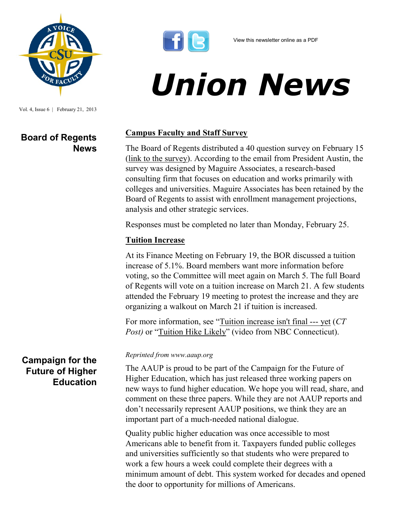

Vol. 4, Issue 6 | February 21, 2013

## **Board of Regents News**



# *Union News*

### **Campus Faculty and Staff Survey**

The Board of Regents distributed a 40 question survey on February 15 ([link to the survey\)](http://www.surveyma.com/f/486398/17f8/). According to the email from President Austin, the survey was designed by Maguire Associates, a research-based consulting firm that focuses on education and works primarily with colleges and universities. Maguire Associates has been retained by the Board of Regents to assist with enrollment management projections, analysis and other strategic services.

Responses must be completed no later than Monday, February 25.

#### **Tuition Increase**

At its Finance Meeting on February 19, the BOR discussed a tuition increase of 5.1%. Board members want more information before voting, so the Committee will meet again on March 5. The full Board of Regents will vote on a tuition increase on March 21. A few students attended the February 19 meeting to protest the increase and they are organizing a walkout on March 21 if tuition is increased.

For more information, see "[Tuition increase isn't final ---](http://www.ctpost.com/local/article/Tuition-increase-isn-t-final-yet-4291031.php) yet (*CT Post)* or "[Tuition Hike Likely](http://www.nbcconnecticut.com/on-air/as-seen-on/191909971.html)" (video from NBC Connecticut).

#### *Reprinted from www.aaup.org*

The AAUP is proud to be part of the Campaign for the Future of Higher Education, which has just released three working papers on new ways to fund higher education. We hope you will read, share, and comment on these three papers. While they are not AAUP reports and don't necessarily represent AAUP positions, we think they are an important part of a much-needed national dialogue.

Quality public higher education was once accessible to most Americans able to benefit from it. Taxpayers funded public colleges and universities sufficiently so that students who were prepared to work a few hours a week could complete their degrees with a minimum amount of debt. This system worked for decades and opened the door to opportunity for millions of Americans.

## **Campaign for the Future of Higher Education**